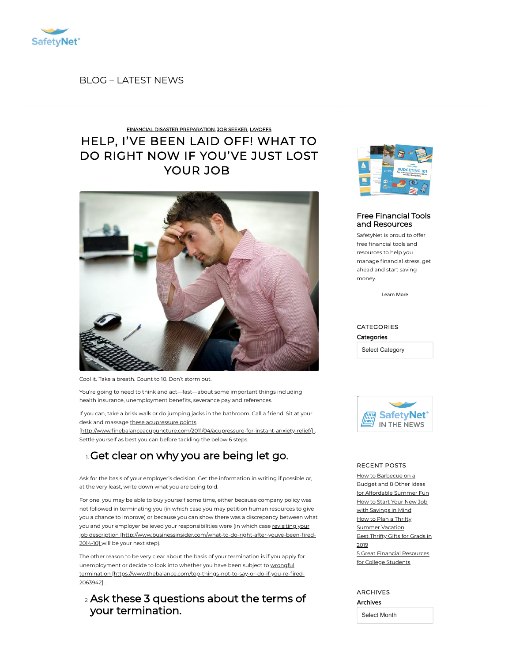

### BLOG [– LATEST](https://safetynet.com/blog/all-posts/) NEWS

# HELP, I'VE BEEN LAID OFF! WHAT TO DO RIGHT NOW IF [YOU'VE](https://safetynet.com/blog/ive-been-laid-off-what-to-do-right-now/) JUST LOST YOUR JOB FINANCIAL DISASTER [PREPARATION,](https://safetynet.com/blog/category/financial-planning/financial-disaster-preparation/) JOB [SEEKER,](https://safetynet.com/blog/category/tips-advice/job-seeker/) [LAYOFFS](https://safetynet.com/blog/category/tips-advice/layoffs/)



Cool it. Take a breath. Count to 10. Don't storm out.

You're going to need to think and act—fast—about some important things including health insurance, unemployment benefits, severance pay and references.

If you can, take a brisk walk or do jumping jacks in the bathroom. Call a friend. Sit at your desk and massage these acupressure points

[http://www.finebalanceacupuncture.com/2011/04/acupressure-for-instant-anxiety-relief/]. Settle yourself as best you can before tackling the below 6 steps.

# 1.Get clear on why you are being let go.

Ask for the basis of your employer's decision. Get the information in writing if possible or, at the very least, write down what you are being told.

For one, you may be able to buy yourself some time, either because company policy was not followed in terminating you (in which case you may petition human resources to give you a chance to improve) or because you can show there was a discrepancy between what you and your employer believed your responsibilities were (in which case revisiting your job description [http://www.businessinsider.com/what-to-do-right-after-youve-been-fired-2014-10] will be your next step).

The other reason to be very clear about the basis of your termination is if you apply for unemployment or decide to look into whether you have been subject to wrongful termination [https://www.thebalance.com/top-things-not-to-say-or-do-if-you-re-fired-2063942] .

2 Ask these 3 questions about the terms of your termination.



#### Free Financial Tools and [Resources](https://safetynet.com/blog/resources/)

SafetyNet is proud to offer free financial tools and resources to help you manage financial stress, get ahead and start saving money.

[Learn](https://safetynet.com/blog/resources/) More

### CATEGORIES **Categories** Select Category



#### RECENT POSTS

How [to Barbecue](https://safetynet.com/blog/how-to-barbecue-on-a-budget-and-8-other-ideas-for-affordable-summer-fun/) on a Budget and 8 Other Ideas for Affordable Summer Fun How to Start Your New Job with [Savings](https://safetynet.com/blog/start-your-new-job-with-savings-in-mind/) in Mind How to Plan a Thrifty [Summer](https://safetynet.com/blog/how-to-plan-a-thrifty-summer-vacation/) Vacation Best [Thrifty](https://safetynet.com/blog/best-thrifty-gifts-for-grads-in-2019/) Gifts for Grads in 2019 5 Great Financial [Resources](https://safetynet.com/blog/5-great-financial-resources-for-college-students/) for College Students

ARCHIVES Archives

Select Month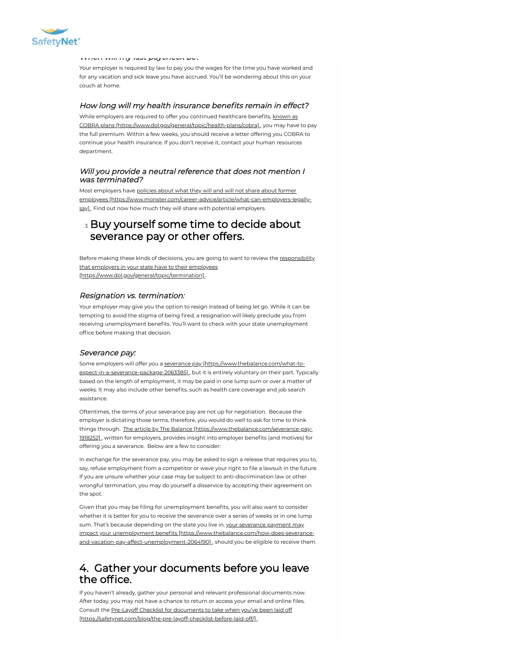

#### When will my last paycheck be?

Your employer is required by law to pay you the wages for the time you have worked and for any vacation and sick leave you have accrued. You'll be wondering about this on your couch at home.

#### How long will my health insurance benefits remain in effect?

While employers are required to offer you continued healthcare benefits, known as COBRA plans [\[https://www.dol.gov/general/topic/health-plans/cobra\]](https://www.dol.gov/general/topic/health-plans/cobra) , you may have to pay the full premium. Within a few weeks, you should receive a letter offering you COBRA to continue your health insurance. If you don't receive it, contact your human resources department.

#### Will you provide <sup>a</sup> neutral reference that does not mention I was terminated?

Most employers have policies about what they will and will not share about former employees [\[https://www.monster.com/career-advice/article/what-can-employers-legally](https://www.monster.com/career-advice/article/what-can-employers-legally-say)say]. Find out now how much they will share with potential employers.

### **Ex Buy yourself some time to decide about** severance pay or other offers.

Before making these kinds of decisions, you are going to want to review the responsibility that employers in your state have to their employees [\[https://www.dol.gov/general/topic/termination\]](https://www.dol.gov/general/topic/termination).

#### Resignation vs. termination:

Your employer may give you the option to resign instead of being let go. While it can be tempting to avoid the stigma of being fired, a resignation will likely preclude you from receiving unemployment benefits. You'll want to check with your state unemployment office before making that decision.

#### Severance pay:

Some employers will offer you a severance pay [https://www.thebalance.com/what-to[expect-in-a-severance-package-2063385\]](https://www.thebalance.com/what-to-expect-in-a-severance-package-2063385), but it is entirely voluntary on their part. Typically based on the length of employment, it may be paid in one lump sum or over a matter of weeks. It may also include other benefits, such as health care coverage and job search assistance.

Oftentimes, the terms of your severance pay are not up for negotiation. Because the employer is dictating those terms, therefore, you would do well to ask for time to think things through. The article by The Balance [\[https://www.thebalance.com/severance-pay-](https://www.thebalance.com/severance-pay-1918252)1918252], written for employers, provides insight into employer benefits (and motives) for offering you a severance. Below are a few to consider:

In exchange for the severance pay, you may be asked to sign a release that requires you to, say, refuse employment from a competitor or wave your right to file a lawsuit in the future. If you are unsure whether your case may be subject to anti-discrimination law or other wrongful termination, you may do yourself a disservice by accepting their agreement on the spot.

Given that you may be filing for unemployment benefits, you will also want to consider whether it is better for you to receive the severance over a series of weeks or in one lump sum. That's because depending on the state you live in, your severance payment may impact your unemployment benefits [\[https://www.thebalance.com/how-does-severance](https://www.thebalance.com/how-does-severance-and-vacation-pay-affect-unemployment-2064190)and-vacation-pay-affect-unemployment-2064190], should you be eligible to receive them.

### 4. Gather your documents before you leave the office.

If you haven't already, gather your personal and relevant professional documents now. After today, you may not have a chance to return or access your email and online files. Consult the Pre-Layoff Checklist for documents to take when you've been laid off [\[https://safetynet.com/blog/the-pre-layoff-checklist-before-laid-off/\]](https://safetynet.com/blog/the-pre-layoff-checklist-before-laid-off/) .